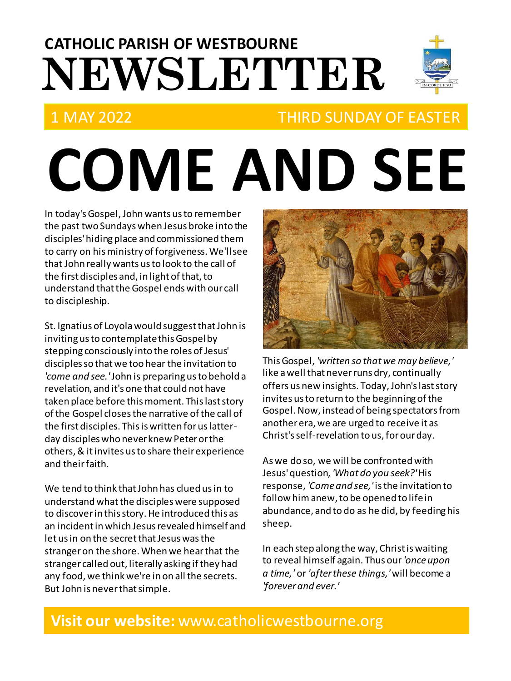# **NEWSLETTER CATHOLIC PARISH OF WESTBOURNE**

# 1 MAY 2022 THIRD SUNDAY OF EASTER

# **COME AND SEE**

In today's Gospel, John wants us to remember the past two Sundays when Jesus broke into the disciples' hiding place and commissioned them to carry on his ministry of forgiveness. We'll see that John really wants us to look to the call of the first disciples and, in light of that, to understand that the Gospel ends with our call to discipleship.

St. Ignatius of Loyola would suggest that John is inviting us to contemplate this Gospel by stepping consciously into the roles of Jesus' disciples so that we too hear the invitation to *'come and see.'*John is preparing us to behold a revelation, and it's one that could not have taken place before this moment. This last story of the Gospel closes the narrative of the call of the first disciples. This is written for us latterday disciples who never knew Peter or the others, & it invites us to share their experience and their faith.

We tend to think that John has clued us in to understand what the disciples were supposed to discover in this story. He introduced this as an incident in which Jesus revealed himself and let us in on the secret that Jesus was the stranger on the shore. When we hear that the stranger called out, literally asking if they had any food, we think we're in on all the secrets. But John is never that simple.



This Gospel, *'written so that we may believe,'* like a well that never runs dry, continually offers us new insights. Today, John's last story invites us to return to the beginning of the Gospel.Now, instead of being spectators from another era, we are urged to receive it as Christ's self-revelation to us, for our day.

As we do so, we will be confronted with Jesus'question, *'What do you seek?'*His response, *'Come and see,'* is the invitation to follow himanew, to be opened to life in abundance, and to do as he did, by feeding his sheep.

In each step along the way, Christ is waiting to reveal himself again. Thus our *'once upon a time,'* or *'after these things,'*will become a *'forever and ever.'*

### **Visit our website:** www.catholicwestbourne.org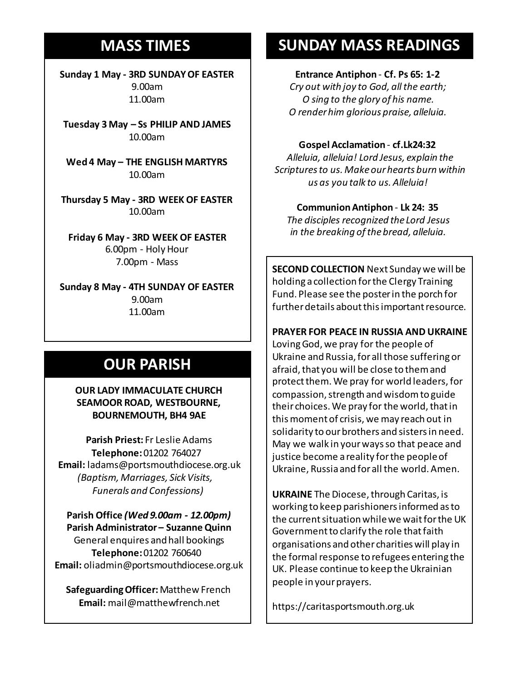## **MASS TIMES**

**Sunday 1 May - 3RD SUNDAY OF EASTER** 9.00am 11.00am

**Tuesday 3 May – Ss PHILIP AND JAMES** 10.00am

**Sunday 11th 9am:** *The Parish* **Wed 4 May – THE ENGLISH MARTYRS 11am** *Tim Mc Cann* 10.00am

**Wednesday 14th** *Repose of the souls of Bernard Charles and Elsie May Pratt* **Thursday 5 May - 3RD WEEK OF EASTER Saturday 16th** *Rosemarie Schofield RIP* 10.00am

**Sunday 18th 11am** *The Parish*  **Friday 6 May - 3RD WEEK OF EASTER** 6.00pm - Holy Hour 7.00pm - Mass

**Sunday 8 May - 4TH SUNDAY OF EASTER** 9.00am 11.00am

# **OUR PARISH**

**OUR LADY IMMACULATE CHURCH SEAMOOR ROAD, WESTBOURNE, BOURNEMOUTH, BH4 9AE**

**Parish Priest:** Fr Leslie Adams **Telephone:**01202 764027 **Email:** ladams@portsmouthdiocese.org.uk *(Baptism, Marriages, Sick Visits, Funerals and Confessions)*

**Parish Office** *(Wed 9.00am - 12.00pm)* **Parish Administrator – Suzanne Quinn** General enquires andhall bookings **Telephone:**01202 760640 **Email:** oliadmin@portsmouthdiocese.org.uk

**Safeguarding Officer:**Matthew French **Email:** mail@matthewfrench.net

# **SUNDAY MASS READINGS**

#### **Entrance Antiphon** - **Cf. Ps 65: 1-2**

*Cry out with joy to God, all the earth; O sing to the glory of his name. O render him glorious praise, alleluia.*

#### **Gospel Acclamation** - **cf.Lk24:32**

*Alleluia, alleluia! Lord Jesus, explain the Scriptures to us. Make our hearts burn within us as you talk to us. Alleluia!* 

#### **Communion Antiphon** - **Lk 24: 35**

*The disciples recognized the Lord Jesus in the breaking of the bread, alleluia.* 

**SECOND COLLECTION** Next Sunday we will be holding a collection for the Clergy Training Fund. Please see the poster in the porch for further details about this important resource.

#### **PRAYER FOR PEACE IN RUSSIA AND UKRAINE**

Loving God, we pray for the people of Ukraine and Russia, for all those suffering or afraid, that you will be close to them and protect them. We pray for world leaders, for compassion, strength and wisdom to guide their choices. We pray for the world, that in this moment of crisis, we may reach out in solidarity to our brothers and sisters in need. May we walk in your ways so that peace and justice become a reality for the people of Ukraine, Russia and for all the world. Amen.

**UKRAINE** The Diocese, through Caritas, is working to keep parishioners informed as to the current situation while we wait for the UK Government to clarify the role that faith organisations and other charities will play in the formal response to refugees entering the UK. Please continue to keep the Ukrainian people in your prayers.

https://caritasportsmouth.org.uk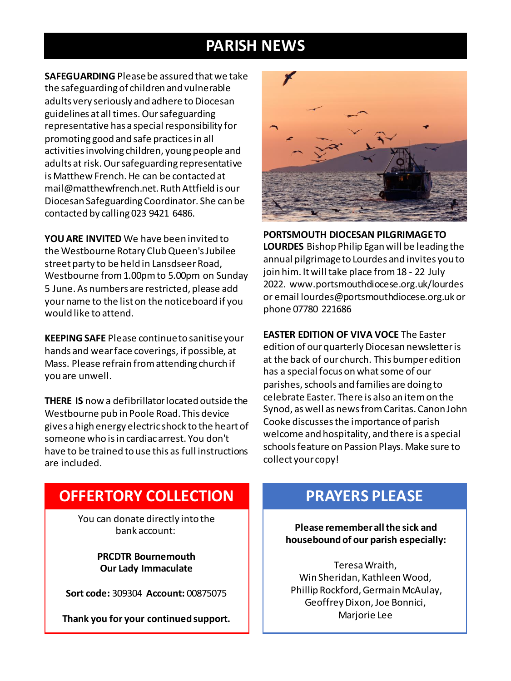# **PARISH NEWS**

**SAFEGUARDING** Please be assured that we take the safeguarding of children and vulnerable adults very seriously and adhere to Diocesan guidelines at all times. Our safeguarding representative has a special responsibility for promoting good and safe practices in all activities involving children, young people and adults at risk. Our safeguarding representative is Matthew French. He can be contacted at mail@matthewfrench.net. Ruth Attfield is our Diocesan Safeguarding Coordinator. She can be contacted by calling 023 9421 6486.

**YOU ARE INVITED** We have been invited to the Westbourne Rotary Club Queen's Jubilee street party to be held in Lansdseer Road, Westbourne from 1.00pm to 5.00pm on Sunday 5 June. As numbers are restricted, please add your name to the list on the noticeboard if you would like to attend.

**KEEPING SAFE** Please continue to sanitise your hands and wear face coverings, if possible, at Mass. Please refrain from attending church if you are unwell.

**THERE IS** now a defibrillator located outside the Westbourne pub in Poole Road. This device gives a high energy electric shock to the heart of someone who is in cardiac arrest. You don't have to be trained to use this as full instructions are included.



**PORTSMOUTH DIOCESAN PILGRIMAGE TO LOURDES** Bishop Philip Egan will be leading the annual pilgrimage to Lourdes and invites you to join him. It will take place from 18 - 22 July 2022. www.portsmouthdiocese.org.uk/lourdes or email lourdes@portsmouthdiocese.org.uk or phone 07780 221686

**EASTER EDITION OF VIVA VOCE** The Easter edition of our quarterly Diocesan newsletter is at the back of our church. This bumper edition has a special focus on what some of our parishes, schools and families are doing to celebrate Easter. There is also an item on the Synod, as well as news from Caritas. Canon John Cooke discusses the importance of parish welcome and hospitality, and there is a special schools feature on Passion Plays. Make sure to collect your copy!

# **OFFERTORY COLLECTION**

You can donate directly into the bank account:

> **PRCDTR Bournemouth Our Lady Immaculate**

**Sort code:** 309304 **Account:** 00875075

**Thank you for your continued support.**

# **PRAYERS PLEASE**

**Please remember all the sick and housebound of our parish especially:**

Teresa Wraith, Win Sheridan, Kathleen Wood, Phillip Rockford, Germain McAulay, Geoffrey Dixon, Joe Bonnici, Marjorie Lee